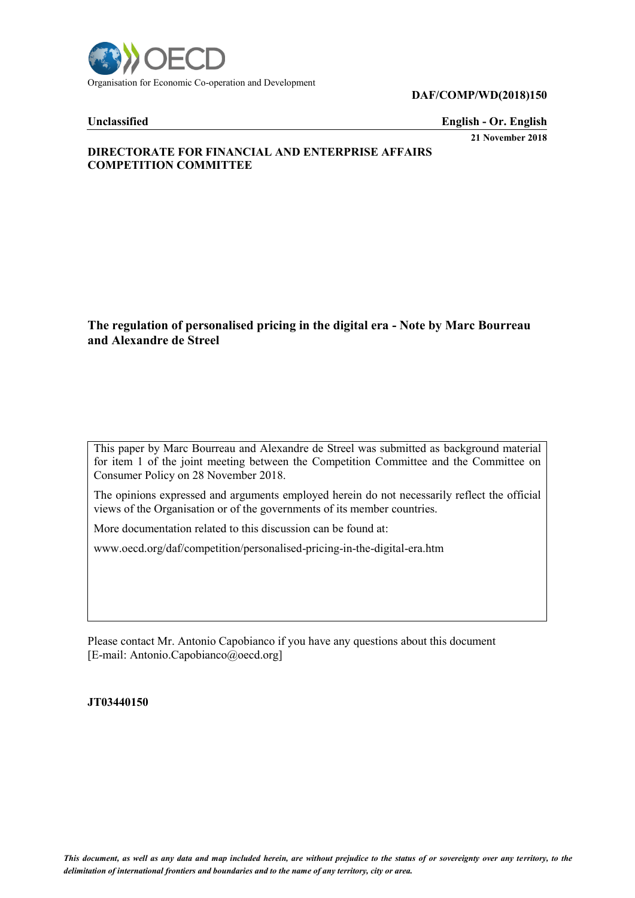

#### **DAF/COMP/WD(2018)150**

**Unclassified English - Or. English**

**21 November 2018**

## **DIRECTORATE FOR FINANCIAL AND ENTERPRISE AFFAIRS COMPETITION COMMITTEE**

## **The regulation of personalised pricing in the digital era - Note by Marc Bourreau and Alexandre de Streel**

This paper by Marc Bourreau and Alexandre de Streel was submitted as background material for item 1 of the joint meeting between the Competition Committee and the Committee on Consumer Policy on 28 November 2018.

The opinions expressed and arguments employed herein do not necessarily reflect the official views of the Organisation or of the governments of its member countries.

More documentation related to this discussion can be found at:

www.oecd.org/daf/competition/personalised-pricing-in-the-digital-era.htm

Please contact Mr. Antonio Capobianco if you have any questions about this document [E-mail: Antonio.Capobianco@oecd.org]

#### **JT03440150**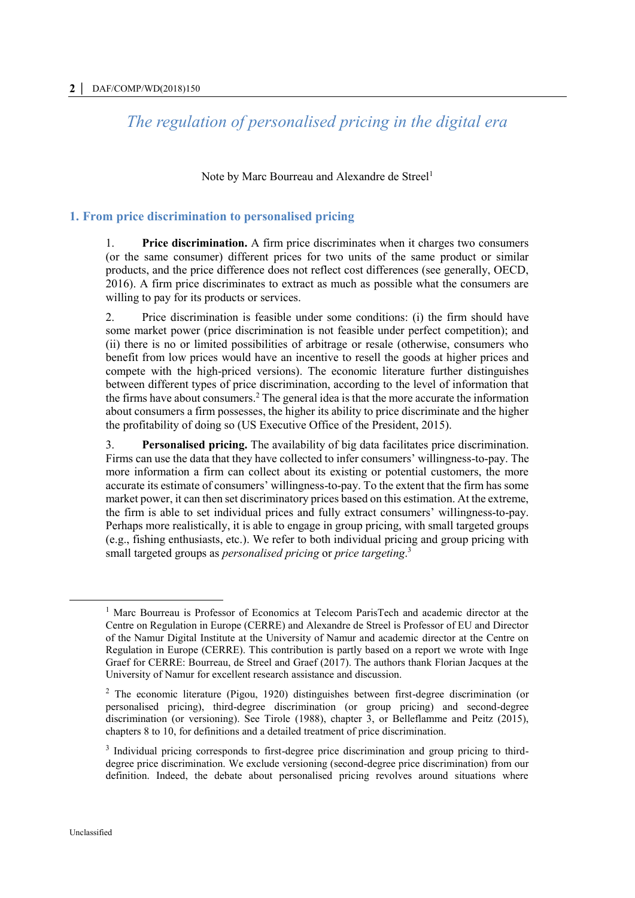# *The regulation of personalised pricing in the digital era*

Note by Marc Bourreau and Alexandre de Streel<sup>1</sup>

## **1. From price discrimination to personalised pricing**

1. **Price discrimination.** A firm price discriminates when it charges two consumers (or the same consumer) different prices for two units of the same product or similar products, and the price difference does not reflect cost differences (see generally, OECD, 2016). A firm price discriminates to extract as much as possible what the consumers are willing to pay for its products or services.

2. Price discrimination is feasible under some conditions: (i) the firm should have some market power (price discrimination is not feasible under perfect competition); and (ii) there is no or limited possibilities of arbitrage or resale (otherwise, consumers who benefit from low prices would have an incentive to resell the goods at higher prices and compete with the high-priced versions). The economic literature further distinguishes between different types of price discrimination, according to the level of information that the firms have about consumers.<sup>2</sup> The general idea is that the more accurate the information about consumers a firm possesses, the higher its ability to price discriminate and the higher the profitability of doing so (US Executive Office of the President, 2015).

3. **Personalised pricing.** The availability of big data facilitates price discrimination. Firms can use the data that they have collected to infer consumers' willingness-to-pay. The more information a firm can collect about its existing or potential customers, the more accurate its estimate of consumers' willingness-to-pay. To the extent that the firm has some market power, it can then set discriminatory prices based on this estimation. At the extreme, the firm is able to set individual prices and fully extract consumers' willingness-to-pay. Perhaps more realistically, it is able to engage in group pricing, with small targeted groups (e.g., fishing enthusiasts, etc.). We refer to both individual pricing and group pricing with small targeted groups as *personalised pricing* or *price targeting*. 3

<sup>&</sup>lt;sup>1</sup> Marc Bourreau is Professor of Economics at Telecom ParisTech and academic director at the Centre on Regulation in Europe (CERRE) and Alexandre de Streel is Professor of EU and Director of the Namur Digital Institute at the University of Namur and academic director at the Centre on Regulation in Europe (CERRE). This contribution is partly based on a report we wrote with Inge Graef for CERRE: Bourreau, de Streel and Graef (2017). The authors thank Florian Jacques at the University of Namur for excellent research assistance and discussion.

<sup>2</sup> The economic literature (Pigou, 1920) distinguishes between first-degree discrimination (or personalised pricing), third-degree discrimination (or group pricing) and second-degree discrimination (or versioning). See Tirole (1988), chapter 3, or Belleflamme and Peitz (2015), chapters 8 to 10, for definitions and a detailed treatment of price discrimination.

<sup>&</sup>lt;sup>3</sup> Individual pricing corresponds to first-degree price discrimination and group pricing to thirddegree price discrimination. We exclude versioning (second-degree price discrimination) from our definition. Indeed, the debate about personalised pricing revolves around situations where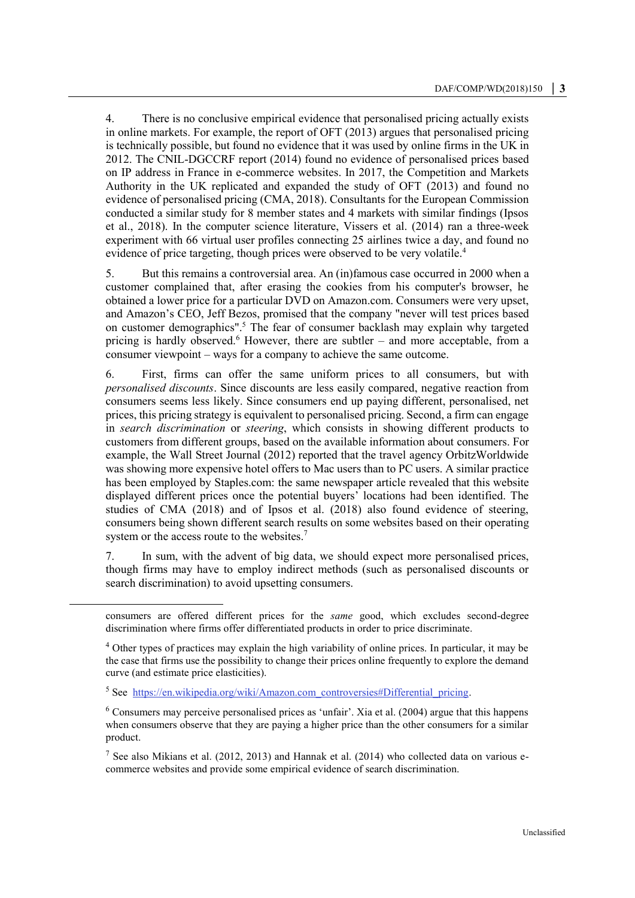4. There is no conclusive empirical evidence that personalised pricing actually exists in online markets. For example, the report of OFT (2013) argues that personalised pricing is technically possible, but found no evidence that it was used by online firms in the UK in 2012. The CNIL-DGCCRF report (2014) found no evidence of personalised prices based on IP address in France in e-commerce websites. In 2017, the Competition and Markets Authority in the UK replicated and expanded the study of OFT (2013) and found no evidence of personalised pricing (CMA, 2018). Consultants for the European Commission conducted a similar study for 8 member states and 4 markets with similar findings (Ipsos et al., 2018). In the computer science literature, Vissers et al. (2014) ran a three-week experiment with 66 virtual user profiles connecting 25 airlines twice a day, and found no evidence of price targeting, though prices were observed to be very volatile.<sup>4</sup>

5. But this remains a controversial area. An (in)famous case occurred in 2000 when a customer complained that, after erasing the cookies from his computer's browser, he obtained a lower price for a particular DVD on Amazon.com. Consumers were very upset, and Amazon's CEO, Jeff Bezos, promised that the company "never will test prices based on customer demographics".<sup>5</sup> The fear of consumer backlash may explain why targeted pricing is hardly observed.<sup>6</sup> However, there are subtler – and more acceptable, from a consumer viewpoint – ways for a company to achieve the same outcome.

6. First, firms can offer the same uniform prices to all consumers, but with *personalised discounts*. Since discounts are less easily compared, negative reaction from consumers seems less likely. Since consumers end up paying different, personalised, net prices, this pricing strategy is equivalent to personalised pricing. Second, a firm can engage in *search discrimination* or *steering*, which consists in showing different products to customers from different groups, based on the available information about consumers. For example, the Wall Street Journal (2012) reported that the travel agency OrbitzWorldwide was showing more expensive hotel offers to Mac users than to PC users. A similar practice has been employed by Staples.com: the same newspaper article revealed that this website displayed different prices once the potential buyers' locations had been identified. The studies of CMA (2018) and of Ipsos et al. (2018) also found evidence of steering, consumers being shown different search results on some websites based on their operating system or the access route to the websites.<sup>7</sup>

7. In sum, with the advent of big data, we should expect more personalised prices, though firms may have to employ indirect methods (such as personalised discounts or search discrimination) to avoid upsetting consumers.

consumers are offered different prices for the *same* good, which excludes second-degree discrimination where firms offer differentiated products in order to price discriminate.

<sup>4</sup> Other types of practices may explain the high variability of online prices. In particular, it may be the case that firms use the possibility to change their prices online frequently to explore the demand curve (and estimate price elasticities).

<sup>&</sup>lt;sup>5</sup> See https://en.wikipedia.org/wiki/Amazon.com controversies#Differential pricing.

 $6$  Consumers may perceive personalised prices as 'unfair'. Xia et al. (2004) argue that this happens when consumers observe that they are paying a higher price than the other consumers for a similar product.

<sup>&</sup>lt;sup>7</sup> See also Mikians et al. (2012, 2013) and Hannak et al. (2014) who collected data on various ecommerce websites and provide some empirical evidence of search discrimination.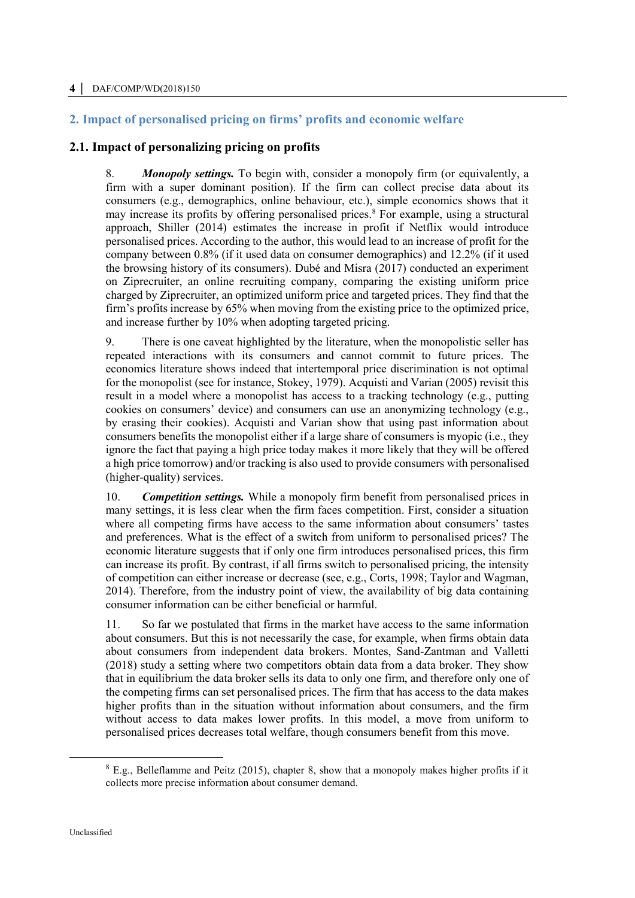## **4 │** DAF/COMP/WD(2018)150

## **2. Impact of personalised pricing on firms' profits and economic welfare**

## **2.1. Impact of personalizing pricing on profits**

8. *Monopoly settings.* To begin with, consider a monopoly firm (or equivalently, a firm with a super dominant position). If the firm can collect precise data about its consumers (e.g., demographics, online behaviour, etc.), simple economics shows that it may increase its profits by offering personalised prices.<sup>8</sup> For example, using a structural approach, Shiller (2014) estimates the increase in profit if Netflix would introduce personalised prices. According to the author, this would lead to an increase of profit for the company between 0.8% (if it used data on consumer demographics) and 12.2% (if it used the browsing history of its consumers). Dubé and Misra (2017) conducted an experiment on Ziprecruiter, an online recruiting company, comparing the existing uniform price charged by Ziprecruiter, an optimized uniform price and targeted prices. They find that the firm's profits increase by 65% when moving from the existing price to the optimized price, and increase further by 10% when adopting targeted pricing.

9. There is one caveat highlighted by the literature, when the monopolistic seller has repeated interactions with its consumers and cannot commit to future prices. The economics literature shows indeed that intertemporal price discrimination is not optimal for the monopolist (see for instance, Stokey, 1979). Acquisti and Varian (2005) revisit this result in a model where a monopolist has access to a tracking technology (e.g., putting cookies on consumers' device) and consumers can use an anonymizing technology (e.g., by erasing their cookies). Acquisti and Varian show that using past information about consumers benefits the monopolist either if a large share of consumers is myopic (i.e., they ignore the fact that paying a high price today makes it more likely that they will be offered a high price tomorrow) and/or tracking is also used to provide consumers with personalised (higher-quality) services.

10. *Competition settings.* While a monopoly firm benefit from personalised prices in many settings, it is less clear when the firm faces competition. First, consider a situation where all competing firms have access to the same information about consumers' tastes and preferences. What is the effect of a switch from uniform to personalised prices? The economic literature suggests that if only one firm introduces personalised prices, this firm can increase its profit. By contrast, if all firms switch to personalised pricing, the intensity of competition can either increase or decrease (see, e.g., Corts, 1998; Taylor and Wagman, 2014). Therefore, from the industry point of view, the availability of big data containing consumer information can be either beneficial or harmful.

11. So far we postulated that firms in the market have access to the same information about consumers. But this is not necessarily the case, for example, when firms obtain data about consumers from independent data brokers. Montes, Sand-Zantman and Valletti (2018) study a setting where two competitors obtain data from a data broker. They show that in equilibrium the data broker sells its data to only one firm, and therefore only one of the competing firms can set personalised prices. The firm that has access to the data makes higher profits than in the situation without information about consumers, and the firm without access to data makes lower profits. In this model, a move from uniform to personalised prices decreases total welfare, though consumers benefit from this move.

<sup>8</sup> E.g., Belleflamme and Peitz (2015), chapter 8, show that a monopoly makes higher profits if it collects more precise information about consumer demand.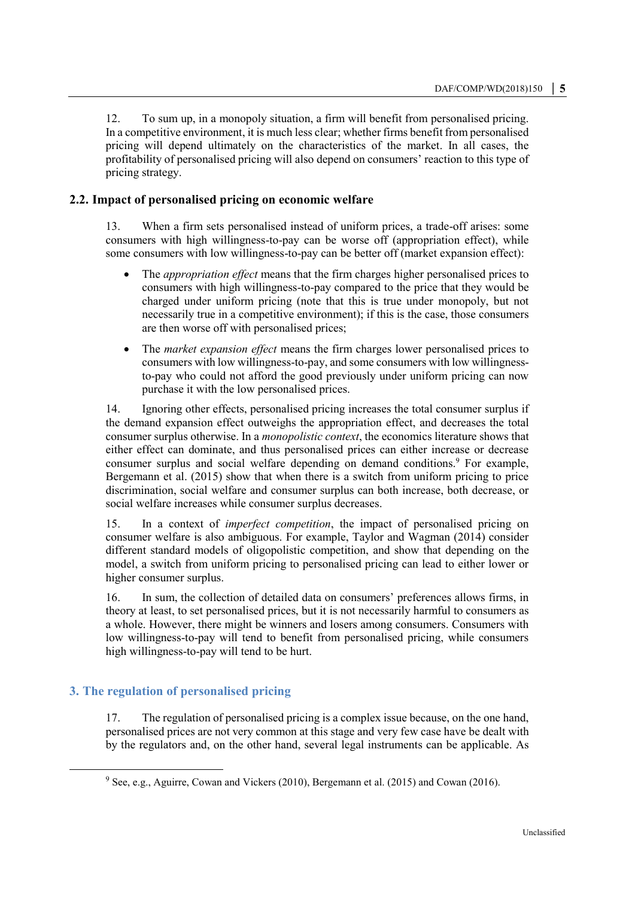12. To sum up, in a monopoly situation, a firm will benefit from personalised pricing. In a competitive environment, it is much less clear; whether firms benefit from personalised pricing will depend ultimately on the characteristics of the market. In all cases, the profitability of personalised pricing will also depend on consumers' reaction to this type of pricing strategy.

## **2.2. Impact of personalised pricing on economic welfare**

13. When a firm sets personalised instead of uniform prices, a trade-off arises: some consumers with high willingness-to-pay can be worse off (appropriation effect), while some consumers with low willingness-to-pay can be better off (market expansion effect):

- The *appropriation effect* means that the firm charges higher personalised prices to consumers with high willingness-to-pay compared to the price that they would be charged under uniform pricing (note that this is true under monopoly, but not necessarily true in a competitive environment); if this is the case, those consumers are then worse off with personalised prices;
- The *market expansion effect* means the firm charges lower personalised prices to consumers with low willingness-to-pay, and some consumers with low willingnessto-pay who could not afford the good previously under uniform pricing can now purchase it with the low personalised prices.

14. Ignoring other effects, personalised pricing increases the total consumer surplus if the demand expansion effect outweighs the appropriation effect, and decreases the total consumer surplus otherwise. In a *monopolistic context*, the economics literature shows that either effect can dominate, and thus personalised prices can either increase or decrease consumer surplus and social welfare depending on demand conditions.<sup>9</sup> For example, Bergemann et al. (2015) show that when there is a switch from uniform pricing to price discrimination, social welfare and consumer surplus can both increase, both decrease, or social welfare increases while consumer surplus decreases.

15. In a context of *imperfect competition*, the impact of personalised pricing on consumer welfare is also ambiguous. For example, Taylor and Wagman (2014) consider different standard models of oligopolistic competition, and show that depending on the model, a switch from uniform pricing to personalised pricing can lead to either lower or higher consumer surplus.

16. In sum, the collection of detailed data on consumers' preferences allows firms, in theory at least, to set personalised prices, but it is not necessarily harmful to consumers as a whole. However, there might be winners and losers among consumers. Consumers with low willingness-to-pay will tend to benefit from personalised pricing, while consumers high willingness-to-pay will tend to be hurt.

## **3. The regulation of personalised pricing**

 $\overline{a}$ 

17. The regulation of personalised pricing is a complex issue because, on the one hand, personalised prices are not very common at this stage and very few case have be dealt with by the regulators and, on the other hand, several legal instruments can be applicable. As

<sup>&</sup>lt;sup>9</sup> See, e.g., Aguirre, Cowan and Vickers (2010), Bergemann et al. (2015) and Cowan (2016).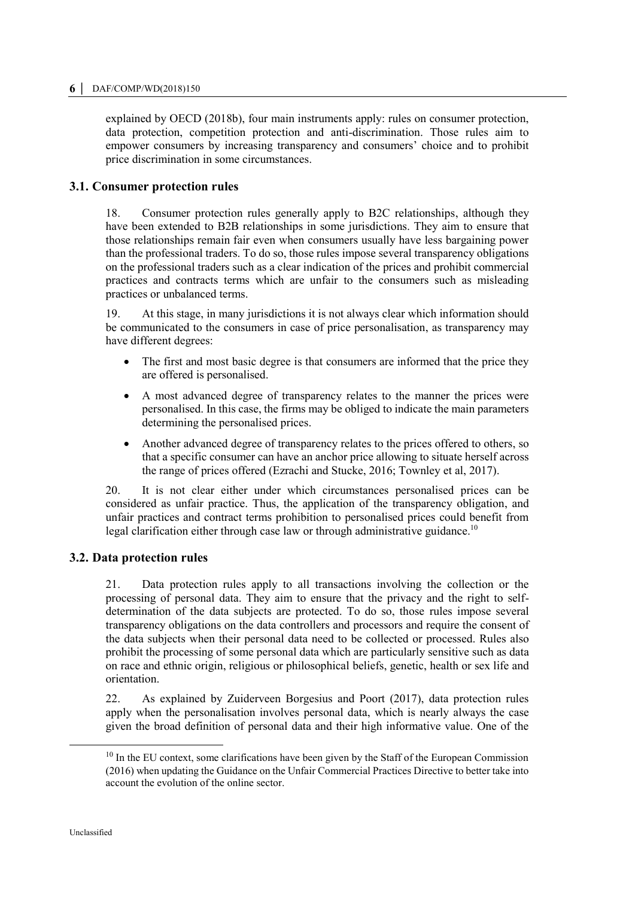#### **6 │** DAF/COMP/WD(2018)150

explained by OECD (2018b), four main instruments apply: rules on consumer protection, data protection, competition protection and anti-discrimination. Those rules aim to empower consumers by increasing transparency and consumers' choice and to prohibit price discrimination in some circumstances.

### **3.1. Consumer protection rules**

18. Consumer protection rules generally apply to B2C relationships, although they have been extended to B2B relationships in some jurisdictions. They aim to ensure that those relationships remain fair even when consumers usually have less bargaining power than the professional traders. To do so, those rules impose several transparency obligations on the professional traders such as a clear indication of the prices and prohibit commercial practices and contracts terms which are unfair to the consumers such as misleading practices or unbalanced terms.

19. At this stage, in many jurisdictions it is not always clear which information should be communicated to the consumers in case of price personalisation, as transparency may have different degrees:

- The first and most basic degree is that consumers are informed that the price they are offered is personalised.
- A most advanced degree of transparency relates to the manner the prices were personalised. In this case, the firms may be obliged to indicate the main parameters determining the personalised prices.
- Another advanced degree of transparency relates to the prices offered to others, so that a specific consumer can have an anchor price allowing to situate herself across the range of prices offered (Ezrachi and Stucke, 2016; Townley et al, 2017).

20. It is not clear either under which circumstances personalised prices can be considered as unfair practice. Thus, the application of the transparency obligation, and unfair practices and contract terms prohibition to personalised prices could benefit from legal clarification either through case law or through administrative guidance.<sup>10</sup>

#### **3.2. Data protection rules**

21. Data protection rules apply to all transactions involving the collection or the processing of personal data. They aim to ensure that the privacy and the right to selfdetermination of the data subjects are protected. To do so, those rules impose several transparency obligations on the data controllers and processors and require the consent of the data subjects when their personal data need to be collected or processed. Rules also prohibit the processing of some personal data which are particularly sensitive such as data on race and ethnic origin, religious or philosophical beliefs, genetic, health or sex life and orientation.

22. As explained by Zuiderveen Borgesius and Poort (2017), data protection rules apply when the personalisation involves personal data, which is nearly always the case given the broad definition of personal data and their high informative value. One of the

<sup>&</sup>lt;sup>10</sup> In the EU context, some clarifications have been given by the Staff of the European Commission (2016) when updating the Guidance on the Unfair Commercial Practices Directive to better take into account the evolution of the online sector.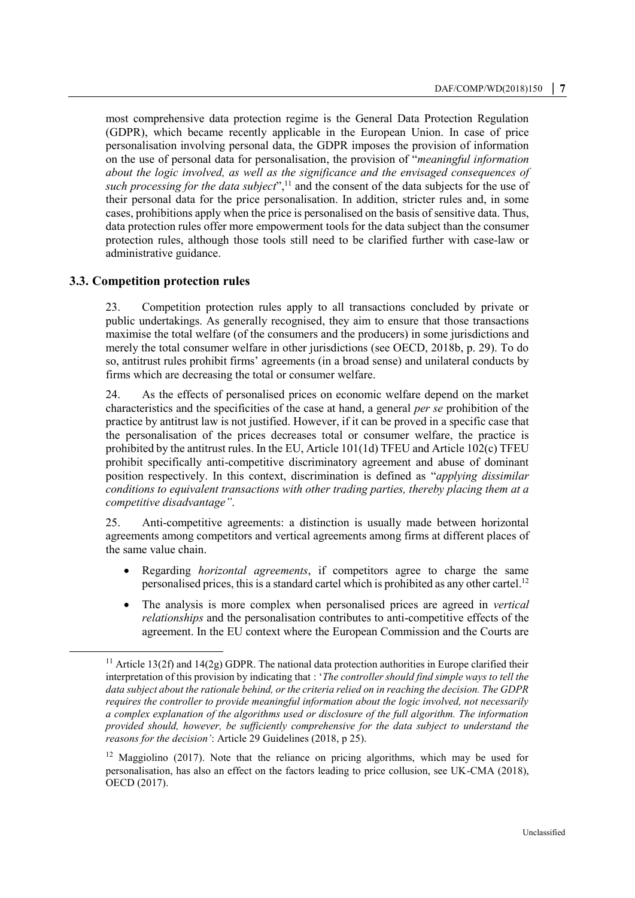most comprehensive data protection regime is the General Data Protection Regulation (GDPR), which became recently applicable in the European Union. In case of price personalisation involving personal data, the GDPR imposes the provision of information on the use of personal data for personalisation, the provision of "*meaningful information about the logic involved, as well as the significance and the envisaged consequences of*  such processing for the data subject<sup>", 11</sup> and the consent of the data subjects for the use of their personal data for the price personalisation. In addition, stricter rules and, in some cases, prohibitions apply when the price is personalised on the basis of sensitive data. Thus, data protection rules offer more empowerment tools for the data subject than the consumer protection rules, although those tools still need to be clarified further with case-law or administrative guidance.

#### **3.3. Competition protection rules**

 $\overline{a}$ 

23. Competition protection rules apply to all transactions concluded by private or public undertakings. As generally recognised, they aim to ensure that those transactions maximise the total welfare (of the consumers and the producers) in some jurisdictions and merely the total consumer welfare in other jurisdictions (see OECD, 2018b, p. 29). To do so, antitrust rules prohibit firms' agreements (in a broad sense) and unilateral conducts by firms which are decreasing the total or consumer welfare.

24. As the effects of personalised prices on economic welfare depend on the market characteristics and the specificities of the case at hand, a general *per se* prohibition of the practice by antitrust law is not justified. However, if it can be proved in a specific case that the personalisation of the prices decreases total or consumer welfare, the practice is prohibited by the antitrust rules. In the EU, Article 101(1d) TFEU and Article 102(c) TFEU prohibit specifically anti-competitive discriminatory agreement and abuse of dominant position respectively. In this context, discrimination is defined as "*applying dissimilar conditions to equivalent transactions with other trading parties, thereby placing them at a competitive disadvantage"*.

25. Anti-competitive agreements: a distinction is usually made between horizontal agreements among competitors and vertical agreements among firms at different places of the same value chain.

- Regarding *horizontal agreements*, if competitors agree to charge the same personalised prices, this is a standard cartel which is prohibited as any other cartel.<sup>12</sup>
- The analysis is more complex when personalised prices are agreed in *vertical relationships* and the personalisation contributes to anti-competitive effects of the agreement. In the EU context where the European Commission and the Courts are

<sup>&</sup>lt;sup>11</sup> Article 13(2f) and 14(2g) GDPR. The national data protection authorities in Europe clarified their interpretation of this provision by indicating that : '*The controller should find simple ways to tell the data subject about the rationale behind, or the criteria relied on in reaching the decision. The GDPR requires the controller to provide meaningful information about the logic involved, not necessarily a complex explanation of the algorithms used or disclosure of the full algorithm. The information provided should, however, be sufficiently comprehensive for the data subject to understand the reasons for the decision'*: Article 29 Guidelines (2018, p 25).

<sup>&</sup>lt;sup>12</sup> Maggiolino (2017). Note that the reliance on pricing algorithms, which may be used for personalisation, has also an effect on the factors leading to price collusion, see UK-CMA (2018), OECD (2017).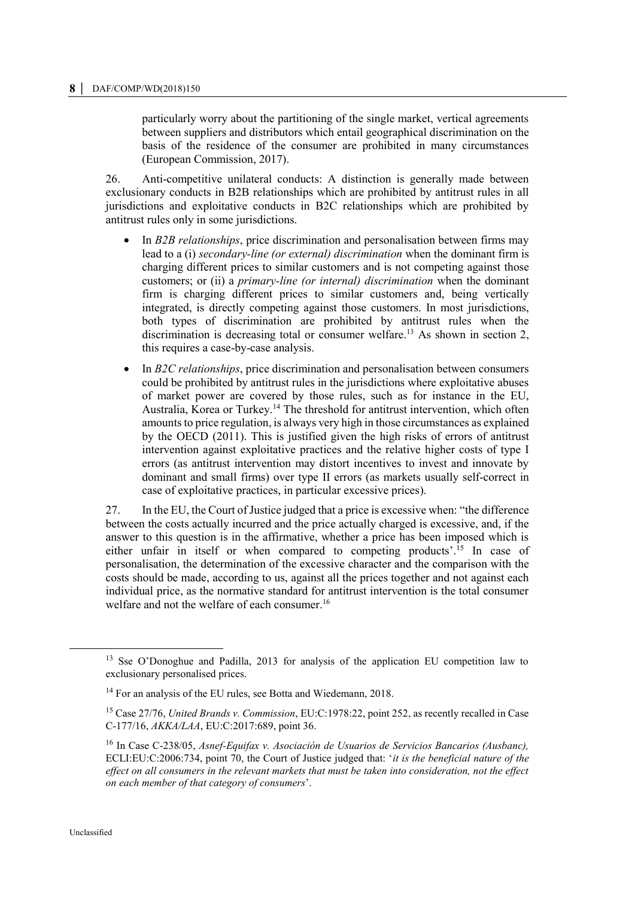particularly worry about the partitioning of the single market, vertical agreements between suppliers and distributors which entail geographical discrimination on the basis of the residence of the consumer are prohibited in many circumstances (European Commission, 2017).

26. Anti-competitive unilateral conducts: A distinction is generally made between exclusionary conducts in B2B relationships which are prohibited by antitrust rules in all jurisdictions and exploitative conducts in B2C relationships which are prohibited by antitrust rules only in some jurisdictions.

- In *B2B relationships*, price discrimination and personalisation between firms may lead to a (i) *secondary-line (or external) discrimination* when the dominant firm is charging different prices to similar customers and is not competing against those customers; or (ii) a *primary-line (or internal) discrimination* when the dominant firm is charging different prices to similar customers and, being vertically integrated, is directly competing against those customers. In most jurisdictions, both types of discrimination are prohibited by antitrust rules when the discrimination is decreasing total or consumer welfare.<sup>13</sup> As shown in section 2, this requires a case-by-case analysis.
- In *B2C relationships*, price discrimination and personalisation between consumers could be prohibited by antitrust rules in the jurisdictions where exploitative abuses of market power are covered by those rules, such as for instance in the EU, Australia, Korea or Turkey.<sup>14</sup> The threshold for antitrust intervention, which often amounts to price regulation, is always very high in those circumstances as explained by the OECD (2011). This is justified given the high risks of errors of antitrust intervention against exploitative practices and the relative higher costs of type I errors (as antitrust intervention may distort incentives to invest and innovate by dominant and small firms) over type II errors (as markets usually self-correct in case of exploitative practices, in particular excessive prices).

27. In the EU, the Court of Justice judged that a price is excessive when: "the difference between the costs actually incurred and the price actually charged is excessive, and, if the answer to this question is in the affirmative, whether a price has been imposed which is either unfair in itself or when compared to competing products'.<sup>15</sup> In case of personalisation, the determination of the excessive character and the comparison with the costs should be made, according to us, against all the prices together and not against each individual price, as the normative standard for antitrust intervention is the total consumer welfare and not the welfare of each consumer.<sup>16</sup>

<sup>&</sup>lt;sup>13</sup> Sse O'Donoghue and Padilla, 2013 for analysis of the application EU competition law to exclusionary personalised prices.

<sup>&</sup>lt;sup>14</sup> For an analysis of the EU rules, see Botta and Wiedemann, 2018.

<sup>15</sup> Case 27/76, *United Brands v. Commission*, EU:C:1978:22, point 252, as recently recalled in Case C-177/16, *AKKA/LAA*, EU:C:2017:689, point 36.

<sup>16</sup> In Case C-238/05, *Asnef-Equifax v. Asociación de Usuarios de Servicios Bancarios (Ausbanc),*  ECLI:EU:C:2006:734, point 70, the Court of Justice judged that: '*it is the beneficial nature of the effect on all consumers in the relevant markets that must be taken into consideration, not the effect on each member of that category of consumers*'.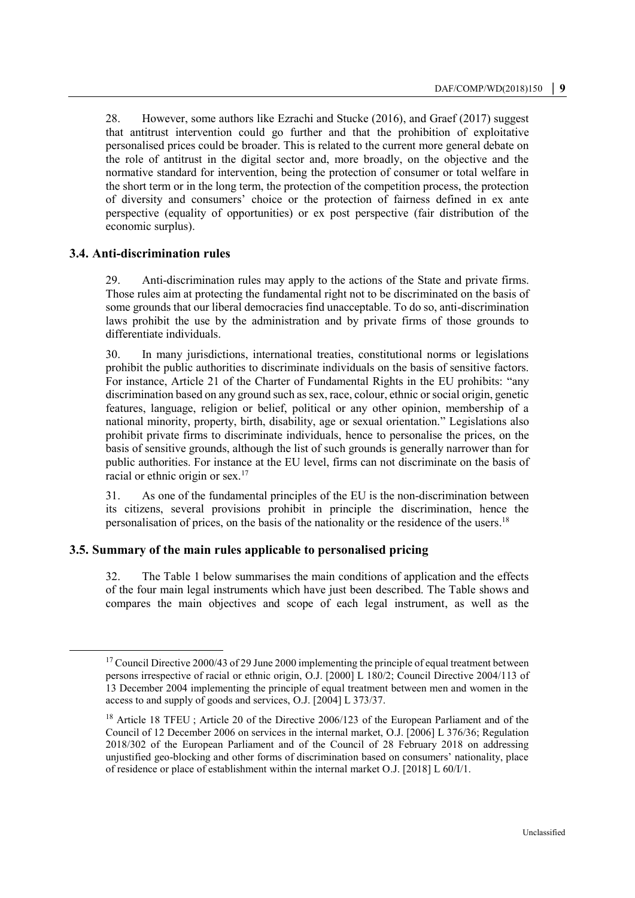28. However, some authors like Ezrachi and Stucke (2016), and Graef (2017) suggest that antitrust intervention could go further and that the prohibition of exploitative personalised prices could be broader. This is related to the current more general debate on the role of antitrust in the digital sector and, more broadly, on the objective and the normative standard for intervention, being the protection of consumer or total welfare in the short term or in the long term, the protection of the competition process, the protection of diversity and consumers' choice or the protection of fairness defined in ex ante perspective (equality of opportunities) or ex post perspective (fair distribution of the economic surplus).

## **3.4. Anti-discrimination rules**

 $\overline{a}$ 

29. Anti-discrimination rules may apply to the actions of the State and private firms. Those rules aim at protecting the fundamental right not to be discriminated on the basis of some grounds that our liberal democracies find unacceptable. To do so, anti-discrimination laws prohibit the use by the administration and by private firms of those grounds to differentiate individuals.

30. In many jurisdictions, international treaties, constitutional norms or legislations prohibit the public authorities to discriminate individuals on the basis of sensitive factors. For instance, Article 21 of the Charter of Fundamental Rights in the EU prohibits: "any discrimination based on any ground such as sex, race, colour, ethnic or social origin, genetic features, language, religion or belief, political or any other opinion, membership of a national minority, property, birth, disability, age or sexual orientation." Legislations also prohibit private firms to discriminate individuals, hence to personalise the prices, on the basis of sensitive grounds, although the list of such grounds is generally narrower than for public authorities. For instance at the EU level, firms can not discriminate on the basis of racial or ethnic origin or sex.<sup>17</sup>

31. As one of the fundamental principles of the EU is the non-discrimination between its citizens, several provisions prohibit in principle the discrimination, hence the personalisation of prices, on the basis of the nationality or the residence of the users.<sup>18</sup>

## **3.5. Summary of the main rules applicable to personalised pricing**

32. The Table 1 below summarises the main conditions of application and the effects of the four main legal instruments which have just been described. The Table shows and compares the main objectives and scope of each legal instrument, as well as the

<sup>&</sup>lt;sup>17</sup> Council Directive 2000/43 of 29 June 2000 implementing the principle of equal treatment between persons irrespective of racial or ethnic origin, O.J. [2000] L 180/2; Council Directive 2004/113 of 13 December 2004 implementing the principle of equal treatment between men and women in the access to and supply of goods and services, O.J. [2004] L 373/37.

<sup>&</sup>lt;sup>18</sup> Article 18 TFEU; Article 20 of the Directive 2006/123 of the European Parliament and of the Council of 12 December 2006 on services in the internal market, O.J. [2006] L 376/36; Regulation 2018/302 of the European Parliament and of the Council of 28 February 2018 on addressing unjustified geo-blocking and other forms of discrimination based on consumers' nationality, place of residence or place of establishment within the internal market O.J. [2018] L 60/I/1.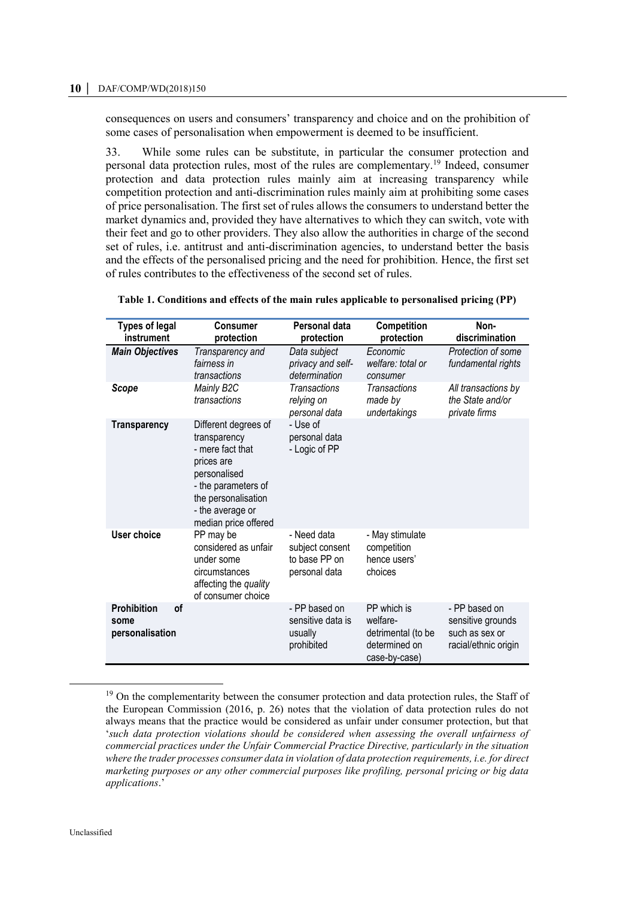consequences on users and consumers' transparency and choice and on the prohibition of some cases of personalisation when empowerment is deemed to be insufficient.

33. While some rules can be substitute, in particular the consumer protection and personal data protection rules, most of the rules are complementary.<sup>19</sup> Indeed, consumer protection and data protection rules mainly aim at increasing transparency while competition protection and anti-discrimination rules mainly aim at prohibiting some cases of price personalisation. The first set of rules allows the consumers to understand better the market dynamics and, provided they have alternatives to which they can switch, vote with their feet and go to other providers. They also allow the authorities in charge of the second set of rules, i.e. antitrust and anti-discrimination agencies, to understand better the basis and the effects of the personalised pricing and the need for prohibition. Hence, the first set of rules contributes to the effectiveness of the second set of rules.

| <b>Types of legal</b><br>instrument                 | Consumer<br>protection                                                                                                                                                           | Personal data<br>protection                                      | Competition<br>protection                                                       | Non-<br>discrimination                                                       |
|-----------------------------------------------------|----------------------------------------------------------------------------------------------------------------------------------------------------------------------------------|------------------------------------------------------------------|---------------------------------------------------------------------------------|------------------------------------------------------------------------------|
| <b>Main Objectives</b>                              | Transparency and<br>fairness in<br>transactions                                                                                                                                  | Data subject<br>privacy and self-<br>determination               | Economic<br>welfare: total or<br>consumer                                       | Protection of some<br>fundamental rights                                     |
| Scope                                               | Mainly B2C<br>transactions                                                                                                                                                       | <b>Transactions</b><br>relying on<br>personal data               | Transactions<br>made by<br>undertakings                                         | All transactions by<br>the State and/or<br>private firms                     |
| <b>Transparency</b>                                 | Different degrees of<br>transparency<br>- mere fact that<br>prices are<br>personalised<br>- the parameters of<br>the personalisation<br>- the average or<br>median price offered | - Use of<br>personal data<br>- Logic of PP                       |                                                                                 |                                                                              |
| User choice                                         | PP may be<br>considered as unfair<br>under some<br>circumstances<br>affecting the quality<br>of consumer choice                                                                  | - Need data<br>subject consent<br>to base PP on<br>personal data | - May stimulate<br>competition<br>hence users'<br>choices                       |                                                                              |
| <b>Prohibition</b><br>of<br>some<br>personalisation |                                                                                                                                                                                  | - PP based on<br>sensitive data is<br>usually<br>prohibited      | PP which is<br>welfare-<br>detrimental (to be<br>determined on<br>case-by-case) | - PP based on<br>sensitive grounds<br>such as sex or<br>racial/ethnic origin |

**Table 1. Conditions and effects of the main rules applicable to personalised pricing (PP)**

<sup>&</sup>lt;sup>19</sup> On the complementarity between the consumer protection and data protection rules, the Staff of the European Commission (2016, p. 26) notes that the violation of data protection rules do not always means that the practice would be considered as unfair under consumer protection, but that '*such data protection violations should be considered when assessing the overall unfairness of commercial practices under the Unfair Commercial Practice Directive, particularly in the situation where the trader processes consumer data in violation of data protection requirements, i.e. for direct marketing purposes or any other commercial purposes like profiling, personal pricing or big data applications*.'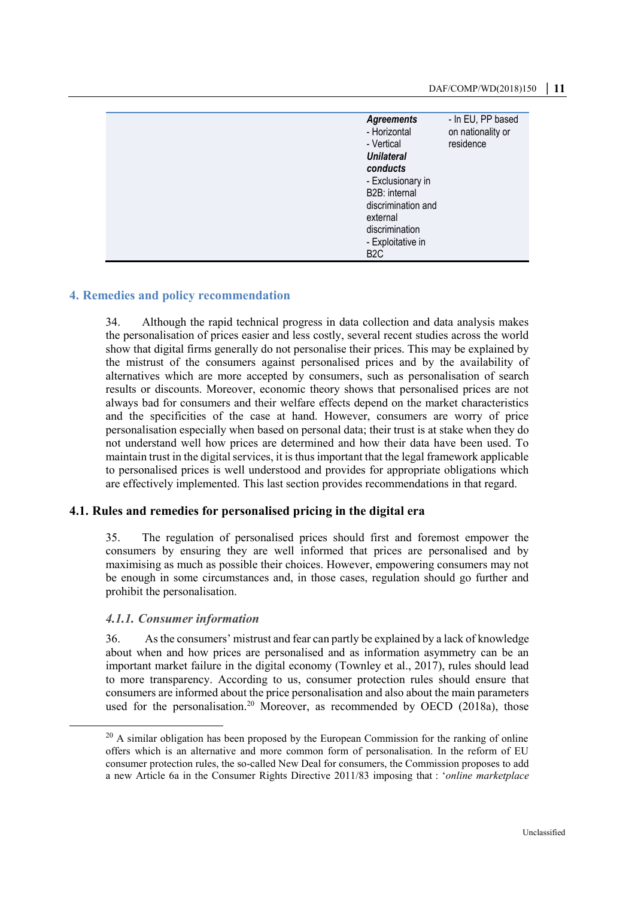|  | <b>Agreements</b><br>- Horizontal<br>- Vertical<br><b>Unilateral</b><br>conducts<br>- Exclusionary in<br>B2B: internal<br>discrimination and<br>external<br>discrimination<br>- Exploitative in<br>B <sub>2</sub> C | - In EU, PP based<br>on nationality or<br>residence |
|--|---------------------------------------------------------------------------------------------------------------------------------------------------------------------------------------------------------------------|-----------------------------------------------------|
|--|---------------------------------------------------------------------------------------------------------------------------------------------------------------------------------------------------------------------|-----------------------------------------------------|

#### **4. Remedies and policy recommendation**

34. Although the rapid technical progress in data collection and data analysis makes the personalisation of prices easier and less costly, several recent studies across the world show that digital firms generally do not personalise their prices. This may be explained by the mistrust of the consumers against personalised prices and by the availability of alternatives which are more accepted by consumers, such as personalisation of search results or discounts. Moreover, economic theory shows that personalised prices are not always bad for consumers and their welfare effects depend on the market characteristics and the specificities of the case at hand. However, consumers are worry of price personalisation especially when based on personal data; their trust is at stake when they do not understand well how prices are determined and how their data have been used. To maintain trust in the digital services, it is thus important that the legal framework applicable to personalised prices is well understood and provides for appropriate obligations which are effectively implemented. This last section provides recommendations in that regard.

#### **4.1. Rules and remedies for personalised pricing in the digital era**

35. The regulation of personalised prices should first and foremost empower the consumers by ensuring they are well informed that prices are personalised and by maximising as much as possible their choices. However, empowering consumers may not be enough in some circumstances and, in those cases, regulation should go further and prohibit the personalisation.

#### *4.1.1. Consumer information*

36. As the consumers' mistrust and fear can partly be explained by a lack of knowledge about when and how prices are personalised and as information asymmetry can be an important market failure in the digital economy (Townley et al., 2017), rules should lead to more transparency. According to us, consumer protection rules should ensure that consumers are informed about the price personalisation and also about the main parameters used for the personalisation. <sup>20</sup> Moreover, as recommended by OECD (2018a), those

 $20$  A similar obligation has been proposed by the European Commission for the ranking of online offers which is an alternative and more common form of personalisation. In the reform of EU consumer protection rules, the so-called New Deal for consumers, the Commission proposes to add a new Article 6a in the Consumer Rights Directive 2011/83 imposing that : '*online marketplace*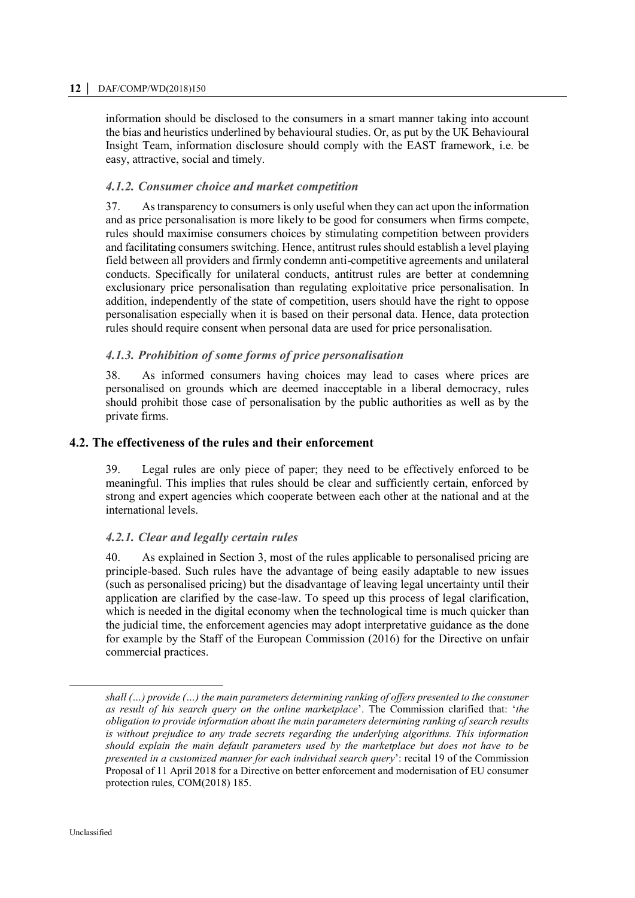information should be disclosed to the consumers in a smart manner taking into account the bias and heuristics underlined by behavioural studies. Or, as put by the UK Behavioural Insight Team, information disclosure should comply with the EAST framework, i.e. be easy, attractive, social and timely.

## *4.1.2. Consumer choice and market competition*

37. As transparency to consumers is only useful when they can act upon the information and as price personalisation is more likely to be good for consumers when firms compete, rules should maximise consumers choices by stimulating competition between providers and facilitating consumers switching. Hence, antitrust rules should establish a level playing field between all providers and firmly condemn anti-competitive agreements and unilateral conducts. Specifically for unilateral conducts, antitrust rules are better at condemning exclusionary price personalisation than regulating exploitative price personalisation. In addition, independently of the state of competition, users should have the right to oppose personalisation especially when it is based on their personal data. Hence, data protection rules should require consent when personal data are used for price personalisation.

## *4.1.3. Prohibition of some forms of price personalisation*

38. As informed consumers having choices may lead to cases where prices are personalised on grounds which are deemed inacceptable in a liberal democracy, rules should prohibit those case of personalisation by the public authorities as well as by the private firms.

#### **4.2. The effectiveness of the rules and their enforcement**

39. Legal rules are only piece of paper; they need to be effectively enforced to be meaningful. This implies that rules should be clear and sufficiently certain, enforced by strong and expert agencies which cooperate between each other at the national and at the international levels.

## *4.2.1. Clear and legally certain rules*

40. As explained in Section 3, most of the rules applicable to personalised pricing are principle-based. Such rules have the advantage of being easily adaptable to new issues (such as personalised pricing) but the disadvantage of leaving legal uncertainty until their application are clarified by the case-law. To speed up this process of legal clarification, which is needed in the digital economy when the technological time is much quicker than the judicial time, the enforcement agencies may adopt interpretative guidance as the done for example by the Staff of the European Commission (2016) for the Directive on unfair commercial practices.

*shall (…) provide (…) the main parameters determining ranking of offers presented to the consumer as result of his search query on the online marketplace*'. The Commission clarified that: '*the obligation to provide information about the main parameters determining ranking of search results is without prejudice to any trade secrets regarding the underlying algorithms. This information should explain the main default parameters used by the marketplace but does not have to be presented in a customized manner for each individual search query*': recital 19 of the Commission Proposal of 11 April 2018 for a Directive on better enforcement and modernisation of EU consumer protection rules, COM(2018) 185.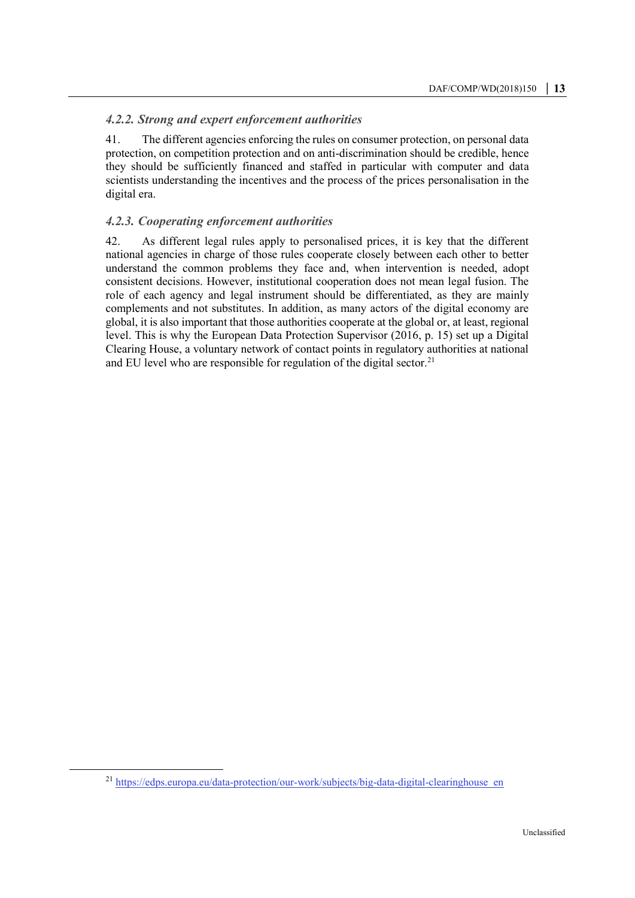## *4.2.2. Strong and expert enforcement authorities*

41. The different agencies enforcing the rules on consumer protection, on personal data protection, on competition protection and on anti-discrimination should be credible, hence they should be sufficiently financed and staffed in particular with computer and data scientists understanding the incentives and the process of the prices personalisation in the digital era.

## *4.2.3. Cooperating enforcement authorities*

42. As different legal rules apply to personalised prices, it is key that the different national agencies in charge of those rules cooperate closely between each other to better understand the common problems they face and, when intervention is needed, adopt consistent decisions. However, institutional cooperation does not mean legal fusion. The role of each agency and legal instrument should be differentiated, as they are mainly complements and not substitutes. In addition, as many actors of the digital economy are global, it is also important that those authorities cooperate at the global or, at least, regional level. This is why the European Data Protection Supervisor (2016, p. 15) set up a Digital Clearing House, a voluntary network of contact points in regulatory authorities at national and EU level who are responsible for regulation of the digital sector.<sup>21</sup>

<sup>&</sup>lt;sup>21</sup> https://edps.europa.eu/data-protection/our-work/subjects/big-data-digital-clearinghouse en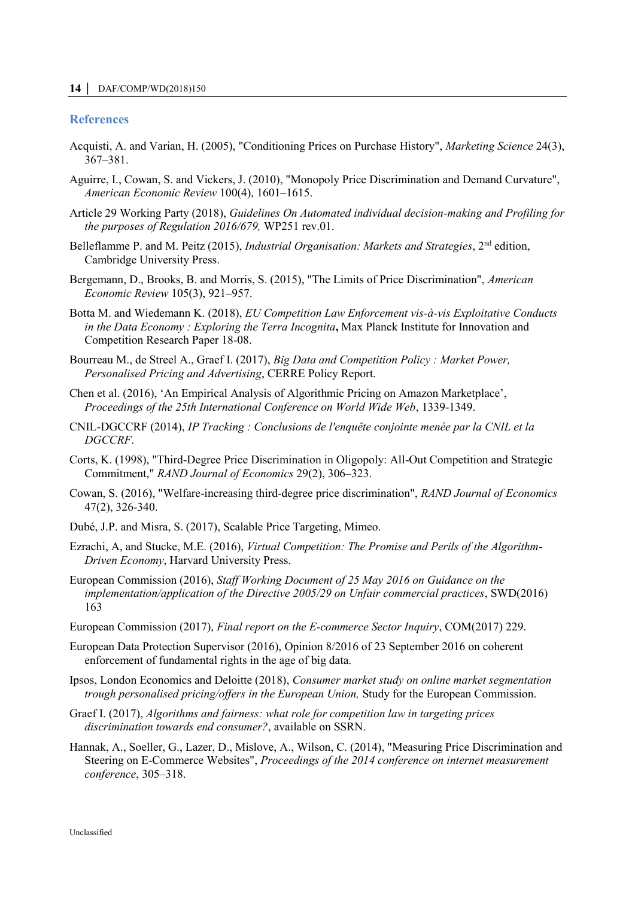#### **References**

- Acquisti, A. and Varian, H. (2005), "Conditioning Prices on Purchase History", *Marketing Science* 24(3), 367–381.
- Aguirre, I., Cowan, S. and Vickers, J. (2010), "Monopoly Price Discrimination and Demand Curvature", *American Economic Review* 100(4), 1601–1615.
- Article 29 Working Party (2018), *Guidelines On Automated individual decision-making and Profiling for the purposes of Regulation 2016/679,* WP251 rev.01.
- Belleflamme P. and M. Peitz (2015), *Industrial Organisation: Markets and Strategies*, 2nd edition, Cambridge University Press.
- Bergemann, D., Brooks, B. and Morris, S. (2015), "The Limits of Price Discrimination", *American Economic Review* 105(3), 921–957.
- Botta M. and Wiedemann K. (2018), *EU Competition Law Enforcement vis-à-vis Exploitative Conducts in the Data Economy : Exploring the Terra Incognita***,** Max Planck Institute for Innovation and Competition Research Paper 18-08.
- Bourreau M., de Streel A., Graef I. (2017), *Big Data and Competition Policy : Market Power, Personalised Pricing and Advertising*, CERRE Policy Report.
- Chen et al. (2016), 'An Empirical Analysis of Algorithmic Pricing on Amazon Marketplace', *Proceedings of the 25th International Conference on World Wide Web*, 1339-1349.
- CNIL-DGCCRF (2014), *IP Tracking : Conclusions de l'enquête conjointe menée par la CNIL et la DGCCRF*.
- Corts, K. (1998), "Third-Degree Price Discrimination in Oligopoly: All-Out Competition and Strategic Commitment," *RAND Journal of Economics* 29(2), 306–323.
- Cowan, S. (2016), "Welfare-increasing third-degree price discrimination", *RAND Journal of Economics* 47(2), 326-340.
- Dubé, J.P. and Misra, S. (2017), Scalable Price Targeting, Mimeo.
- Ezrachi, A, and Stucke, M.E. (2016), *Virtual Competition: The Promise and Perils of the Algorithm-Driven Economy*, Harvard University Press.
- European Commission (2016), *Staff Working Document of 25 May 2016 on Guidance on the implementation/application of the Directive 2005/29 on Unfair commercial practices*, SWD(2016) 163
- European Commission (2017), *Final report on the E-commerce Sector Inquiry*, COM(2017) 229.
- European Data Protection Supervisor (2016), Opinion 8/2016 of 23 September 2016 on coherent enforcement of fundamental rights in the age of big data.
- Ipsos, London Economics and Deloitte (2018), *Consumer market study on online market segmentation trough personalised pricing/offers in the European Union,* Study for the European Commission.
- Graef I. (2017), *Algorithms and fairness: what role for competition law in targeting prices discrimination towards end consumer?*, available on SSRN.
- Hannak, A., Soeller, G., Lazer, D., Mislove, A., Wilson, C. (2014), "Measuring Price Discrimination and Steering on E-Commerce Websites", *Proceedings of the 2014 conference on internet measurement conference*, 305–318.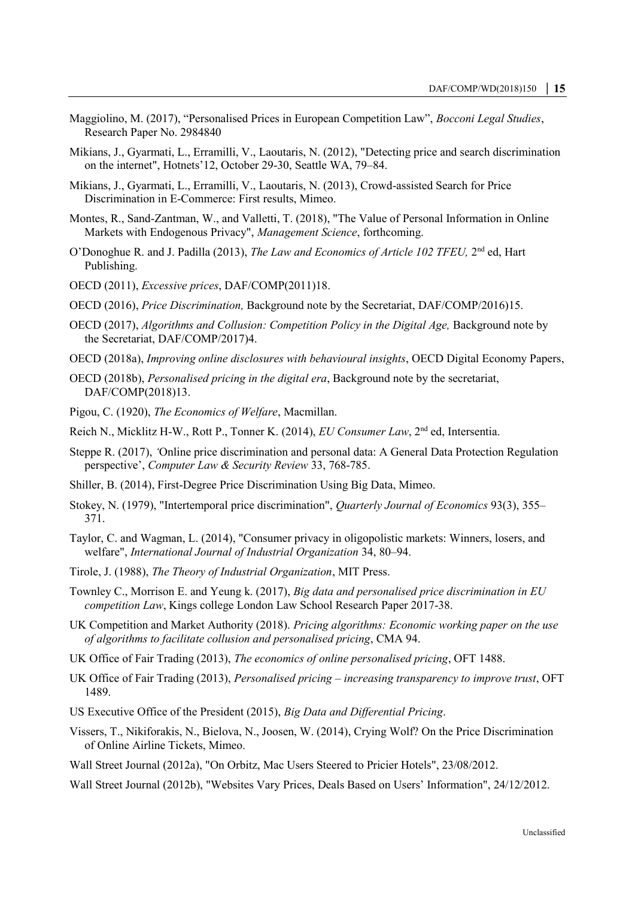- Maggiolino, M. (2017), "Personalised Prices in European Competition Law", *Bocconi Legal Studies*, Research Paper No. 2984840
- Mikians, J., Gyarmati, L., Erramilli, V., Laoutaris, N. (2012), "Detecting price and search discrimination on the internet", Hotnets'12, October 29-30, Seattle WA, 79–84.
- Mikians, J., Gyarmati, L., Erramilli, V., Laoutaris, N. (2013), Crowd-assisted Search for Price Discrimination in E-Commerce: First results, Mimeo.
- Montes, R., Sand-Zantman, W., and Valletti, T. (2018), "The Value of Personal Information in Online Markets with Endogenous Privacy", *Management Science*, forthcoming.
- O'Donoghue R. and J. Padilla (2013), *The Law and Economics of Article 102 TFEU*, 2<sup>nd</sup> ed, Hart Publishing.
- OECD (2011), *Excessive prices*, DAF/COMP(2011)18.
- OECD (2016), *Price Discrimination,* Background note by the Secretariat, DAF/COMP/2016)15.
- OECD (2017), *Algorithms and Collusion: Competition Policy in the Digital Age*, Background note by the Secretariat, DAF/COMP/2017)4.
- OECD (2018a), *Improving online disclosures with behavioural insights*, OECD Digital Economy Papers,
- OECD (2018b), *Personalised pricing in the digital era*, Background note by the secretariat, DAF/COMP(2018)13.
- Pigou, C. (1920), *The Economics of Welfare*, Macmillan.
- Reich N., Micklitz H-W., Rott P., Tonner K. (2014), *EU Consumer Law*, 2nd ed, Intersentia.
- Steppe R. (2017), *'*Online price discrimination and personal data: A General Data Protection Regulation perspective', *Computer Law & Security Review* 33, 768-785.
- Shiller, B. (2014), First-Degree Price Discrimination Using Big Data, Mimeo.
- Stokey, N. (1979), "Intertemporal price discrimination", *Quarterly Journal of Economics* 93(3), 355– 371.
- Taylor, C. and Wagman, L. (2014), "Consumer privacy in oligopolistic markets: Winners, losers, and welfare", *International Journal of Industrial Organization* 34, 80–94.
- Tirole, J. (1988), *The Theory of Industrial Organization*, MIT Press.
- Townley C., Morrison E. and Yeung k. (2017), *Big data and personalised price discrimination in EU competition Law*, Kings college London Law School Research Paper 2017-38.
- UK Competition and Market Authority (2018). *Pricing algorithms: Economic working paper on the use of algorithms to facilitate collusion and personalised pricing*, CMA 94.
- UK Office of Fair Trading (2013), *The economics of online personalised pricing*, OFT 1488.
- UK Office of Fair Trading (2013), *Personalised pricing – increasing transparency to improve trust*, OFT 1489.
- US Executive Office of the President (2015), *Big Data and Differential Pricing*.
- Vissers, T., Nikiforakis, N., Bielova, N., Joosen, W. (2014), Crying Wolf? On the Price Discrimination of Online Airline Tickets, Mimeo.
- Wall Street Journal (2012a), "On Orbitz, Mac Users Steered to Pricier Hotels", 23/08/2012.
- Wall Street Journal (2012b), "Websites Vary Prices, Deals Based on Users' Information", 24/12/2012.